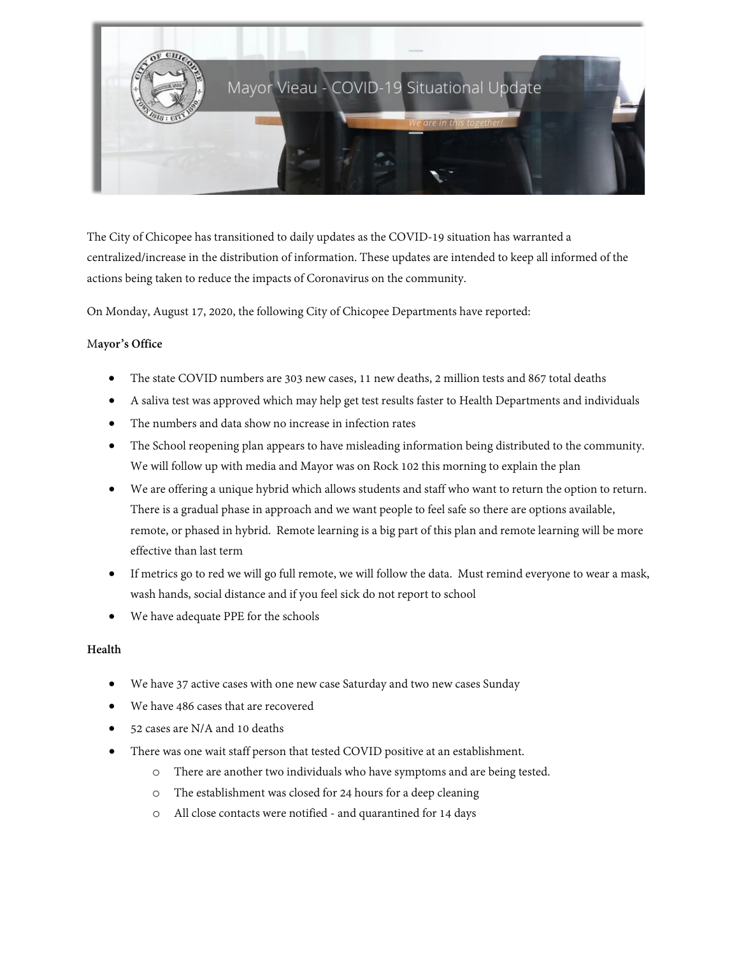

The City of Chicopee has transitioned to daily updates as the COVID-19 situation has warranted a centralized/increase in the distribution of information. These updates are intended to keep all informed of the actions being taken to reduce the impacts of Coronavirus on the community.

On Monday, August 17, 2020, the following City of Chicopee Departments have reported:

# M**ayor's Office**

- The state COVID numbers are 303 new cases, 11 new deaths, 2 million tests and 867 total deaths
- A saliva test was approved which may help get test results faster to Health Departments and individuals
- The numbers and data show no increase in infection rates
- The School reopening plan appears to have misleading information being distributed to the community. We will follow up with media and Mayor was on Rock 102 this morning to explain the plan
- We are offering a unique hybrid which allows students and staff who want to return the option to return. There is a gradual phase in approach and we want people to feel safe so there are options available, remote, or phased in hybrid. Remote learning is a big part of this plan and remote learning will be more effective than last term
- If metrics go to red we will go full remote, we will follow the data. Must remind everyone to wear a mask, wash hands, social distance and if you feel sick do not report to school
- We have adequate PPE for the schools

# **Health**

- We have 37 active cases with one new case Saturday and two new cases Sunday
- We have 486 cases that are recovered
- 52 cases are N/A and 10 deaths
- There was one wait staff person that tested COVID positive at an establishment.
	- o There are another two individuals who have symptoms and are being tested.
	- o The establishment was closed for 24 hours for a deep cleaning
	- o All close contacts were notified and quarantined for 14 days